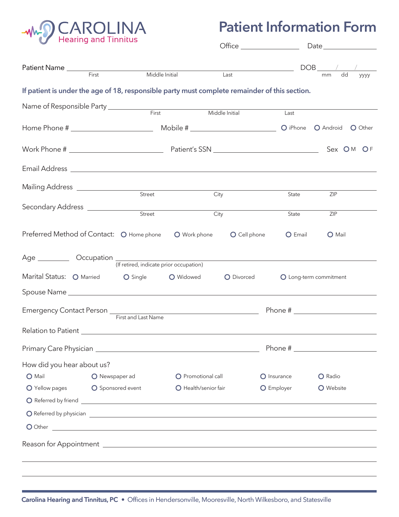

## **Patient Information Form**

|                                                                                                                                                                                                                                |                                                                                                                                                                                                                                |                                         | $\bullet$ Office $\overline{\phantom{a}}$ |             |                               |  |
|--------------------------------------------------------------------------------------------------------------------------------------------------------------------------------------------------------------------------------|--------------------------------------------------------------------------------------------------------------------------------------------------------------------------------------------------------------------------------|-----------------------------------------|-------------------------------------------|-------------|-------------------------------|--|
|                                                                                                                                                                                                                                | Patient Name <u>First</u>                                                                                                                                                                                                      |                                         |                                           |             |                               |  |
|                                                                                                                                                                                                                                |                                                                                                                                                                                                                                | Middle Initial                          | Last                                      |             | $\overline{dd}$<br>mm<br>уууу |  |
|                                                                                                                                                                                                                                | If patient is under the age of 18, responsible party must complete remainder of this section.                                                                                                                                  |                                         |                                           |             |                               |  |
|                                                                                                                                                                                                                                | Name of Responsible Party ___________                                                                                                                                                                                          | First                                   |                                           |             |                               |  |
|                                                                                                                                                                                                                                |                                                                                                                                                                                                                                |                                         | Middle Initial                            | Last        |                               |  |
|                                                                                                                                                                                                                                |                                                                                                                                                                                                                                |                                         |                                           |             | O iPhone O Android O Other    |  |
|                                                                                                                                                                                                                                |                                                                                                                                                                                                                                |                                         |                                           |             | Sex OM OF                     |  |
|                                                                                                                                                                                                                                |                                                                                                                                                                                                                                |                                         |                                           |             |                               |  |
| Mailing Address _________________                                                                                                                                                                                              | Street                                                                                                                                                                                                                         | City                                    |                                           | State       | ZIP                           |  |
|                                                                                                                                                                                                                                |                                                                                                                                                                                                                                |                                         |                                           |             |                               |  |
| Secondary Address _____________                                                                                                                                                                                                | Street                                                                                                                                                                                                                         | City                                    |                                           | State       | ZIP                           |  |
|                                                                                                                                                                                                                                | Preferred Method of Contact: O Home phone                                                                                                                                                                                      | O Work phone                            | O Cell phone                              | O Email     | O Mail                        |  |
|                                                                                                                                                                                                                                |                                                                                                                                                                                                                                | (If retired, indicate prior occupation) |                                           |             |                               |  |
| Marital Status: O Married                                                                                                                                                                                                      | O Single                                                                                                                                                                                                                       | O Widowed                               | O Divorced                                |             | O Long-term commitment        |  |
|                                                                                                                                                                                                                                |                                                                                                                                                                                                                                |                                         |                                           |             |                               |  |
|                                                                                                                                                                                                                                | Emergency Contact Person <u>First and Last Name</u>                                                                                                                                                                            |                                         |                                           |             | Phone #                       |  |
|                                                                                                                                                                                                                                |                                                                                                                                                                                                                                |                                         |                                           |             |                               |  |
| Primary Care Physician entrance and the contract of the contract of the contract of the contract of the contract of the contract of the contract of the contract of the contract of the contract of the contract of the contra |                                                                                                                                                                                                                                |                                         |                                           |             |                               |  |
| How did you hear about us?                                                                                                                                                                                                     |                                                                                                                                                                                                                                |                                         |                                           |             |                               |  |
| O Mail                                                                                                                                                                                                                         | O Newspaper ad                                                                                                                                                                                                                 | O Promotional call                      |                                           | O Insurance | O Radio                       |  |
| O Yellow pages                                                                                                                                                                                                                 | O Sponsored event                                                                                                                                                                                                              | O Health/senior fair                    |                                           | O Employer  | <b>O</b> Website              |  |
|                                                                                                                                                                                                                                |                                                                                                                                                                                                                                |                                         |                                           |             |                               |  |
|                                                                                                                                                                                                                                |                                                                                                                                                                                                                                |                                         |                                           |             |                               |  |
|                                                                                                                                                                                                                                | O Other contract to the contract of the contract of the contract of the contract of the contract of the contract of the contract of the contract of the contract of the contract of the contract of the contract of the contra |                                         |                                           |             |                               |  |
|                                                                                                                                                                                                                                |                                                                                                                                                                                                                                |                                         |                                           |             |                               |  |
|                                                                                                                                                                                                                                |                                                                                                                                                                                                                                |                                         |                                           |             |                               |  |
|                                                                                                                                                                                                                                |                                                                                                                                                                                                                                |                                         |                                           |             |                               |  |